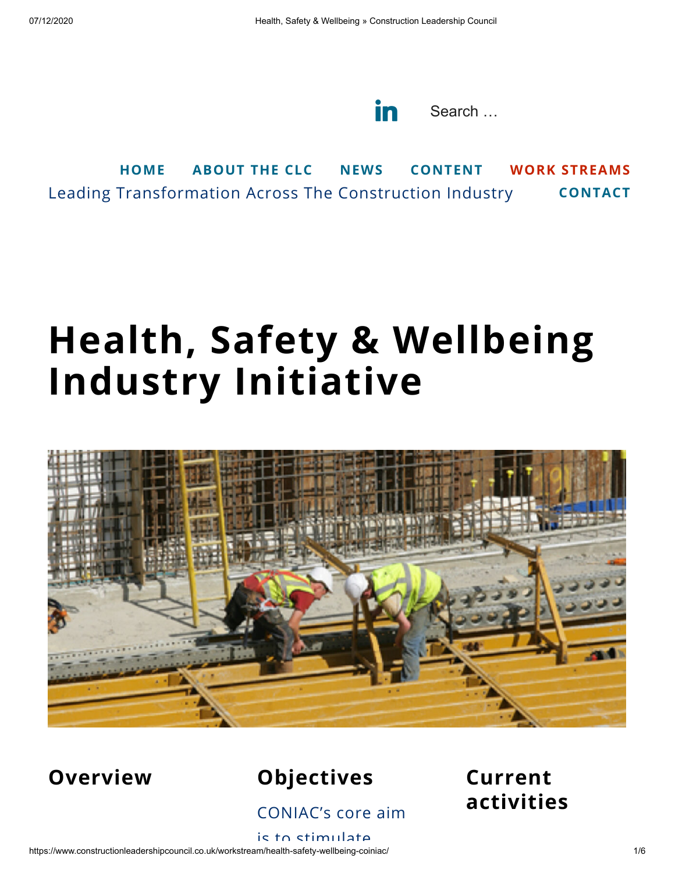

Leading Transformation Across The Construction Industry **[HOME](https://www.constructionleadershipcouncil.co.uk/) [ABOUT](https://www.constructionleadershipcouncil.co.uk/about) THE CLC [NEWS](https://www.constructionleadershipcouncil.co.uk/news/) [CONTENT](https://www.constructionleadershipcouncil.co.uk/content/) WORK [STREAMS](https://www.constructionleadershipcouncil.co.uk/our-work/) [CONTACT](https://www.constructionleadershipcouncil.co.uk/contact/)**

# **Health, Safety & Wellbeing Industry Initiative**



#### **Overview Objectives**

CONIAC's core aim

#### **Current activities**

https://www.constructionleadershipcouncil.co.uk/workstream/health-safety-wellbeing-coiniac/ 1/6 is to stimulate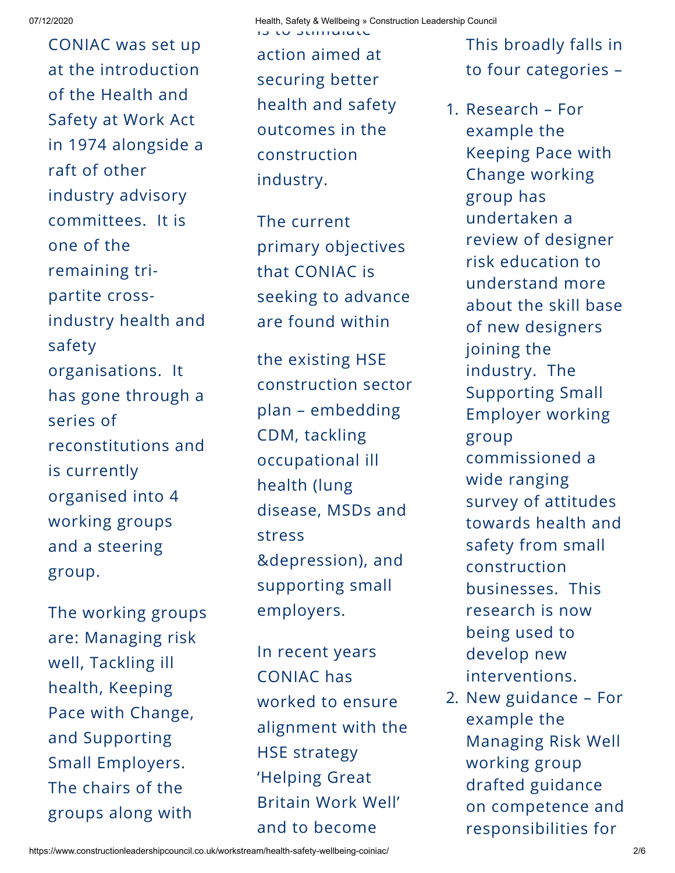CONIAC was set up at the introduction of the Health and Safety at Work Act in 1974 alongside a raft of other industry advisory committees. It is one of the remaining tripartite crossindustry health and safety organisations. It has gone through a series of reconstitutions and is currently organised into 4 working groups and a steering group.

The working groups are: Managing risk well, Tackling ill health, Keeping Pace with Change, and Supporting Small Employers. The chairs of the groups along with

action aimed at securing better health and safety outcomes in the construction industry.

The current primary objectives that CONIAC is seeking to advance are found within

the existing HSE construction sector plan – embedding CDM, tackling occupational ill health (lung disease, MSDs and stress &depression), and supporting small employers.

In recent years CONIAC has worked to ensure alignment with the HSE strategy 'Helping Great Britain Work Well' and to become

This broadly falls in to four categories –

1. Research – For example the Keeping Pace with Change working group has undertaken a review of designer risk education to understand more about the skill base of new designers joining the industry. The Supporting Small Employer working group commissioned a wide ranging survey of attitudes towards health and safety from small construction businesses. This research is now being used to develop new interventions.

2. New guidance – For example the Managing Risk Well working group drafted guidance on competence and responsibilities for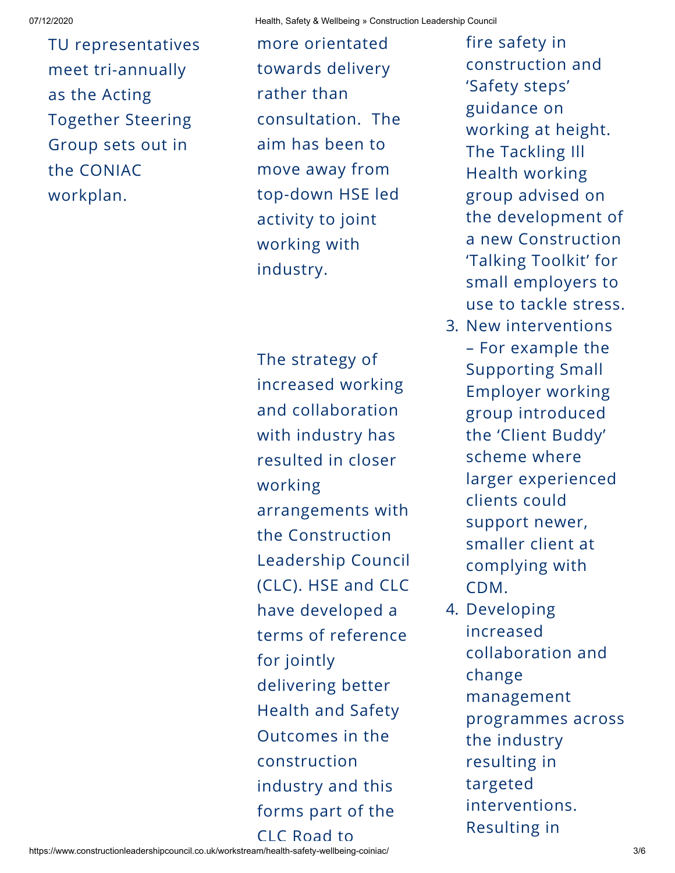TU representatives meet tri-annually as the Acting Together Steering Group sets out in the CONIAC workplan.

more orientated towards delivery rather than consultation. The aim has been to move away from top-down HSE led activity to joint working with industry.

The strategy of increased working and collaboration with industry has resulted in closer working arrangements with the Construction Leadership Council (CLC). HSE and CLC have developed a terms of reference for jointly delivering better Health and Safety Outcomes in the construction industry and this forms part of the CLC Road to

fire safety in construction and 'Safety steps' guidance on working at height. The Tackling Ill Health working group advised on the development of a new Construction 'Talking Toolkit' for small employers to use to tackle stress.

- 3. New interventions – For example the Supporting Small Employer working group introduced the 'Client Buddy' scheme where larger experienced clients could support newer, smaller client at complying with CDM.
- 4. Developing increased collaboration and change management programmes across the industry resulting in targeted interventions. Resulting in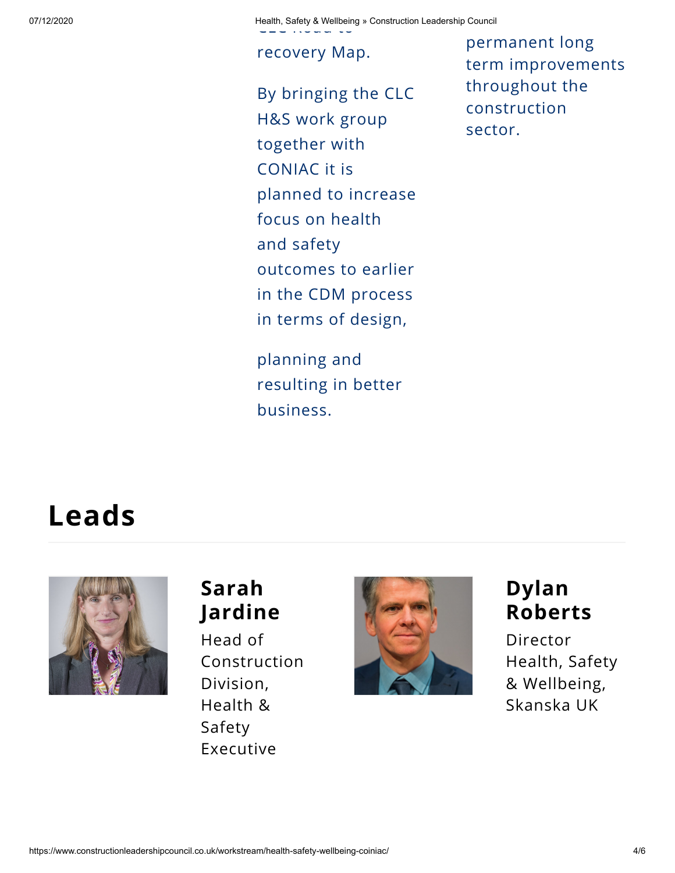07/12/2020 Health, Safety & Wellbeing » Construction Leadership Council CLC Road to

recovery Map.

By bringing the CLC H&S work group together with CONIAC it is planned to increase focus on health and safety outcomes to earlier in the CDM process in terms of design,

planning and resulting in better business.

permanent long term improvements throughout the construction sector.

### **Leads**



#### **Sarah Jardine**

Head of Construction Division, Health & Safety Executive



#### **Dylan Roberts**

Director Health, Safety & Wellbeing, Skanska UK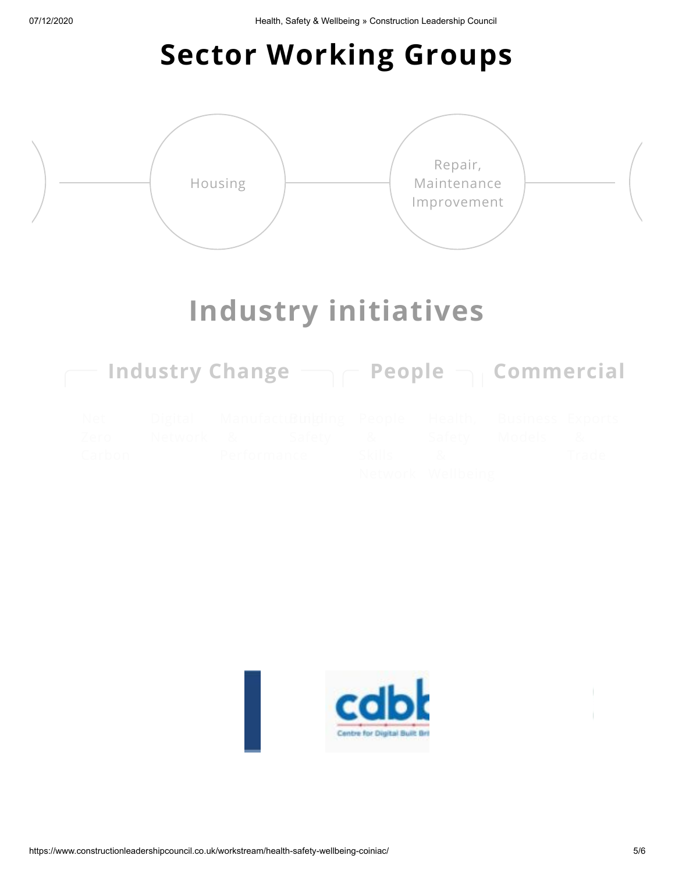## **Sector Working Groups**



### **Industry initiatives**

| Industry Change $\Box \subset \mathsf{People} \subset \Box$ Commercial |                    |                               |               |                                      |        |    |
|------------------------------------------------------------------------|--------------------|-------------------------------|---------------|--------------------------------------|--------|----|
| Net<br>/ Arn<br>Carbon                                                 | Dioital<br>Network | Manutactu Runbolino<br>Safety | <b>Skills</b> | Health<br>Safah<br>Network Wellbeing | Models | 8. |